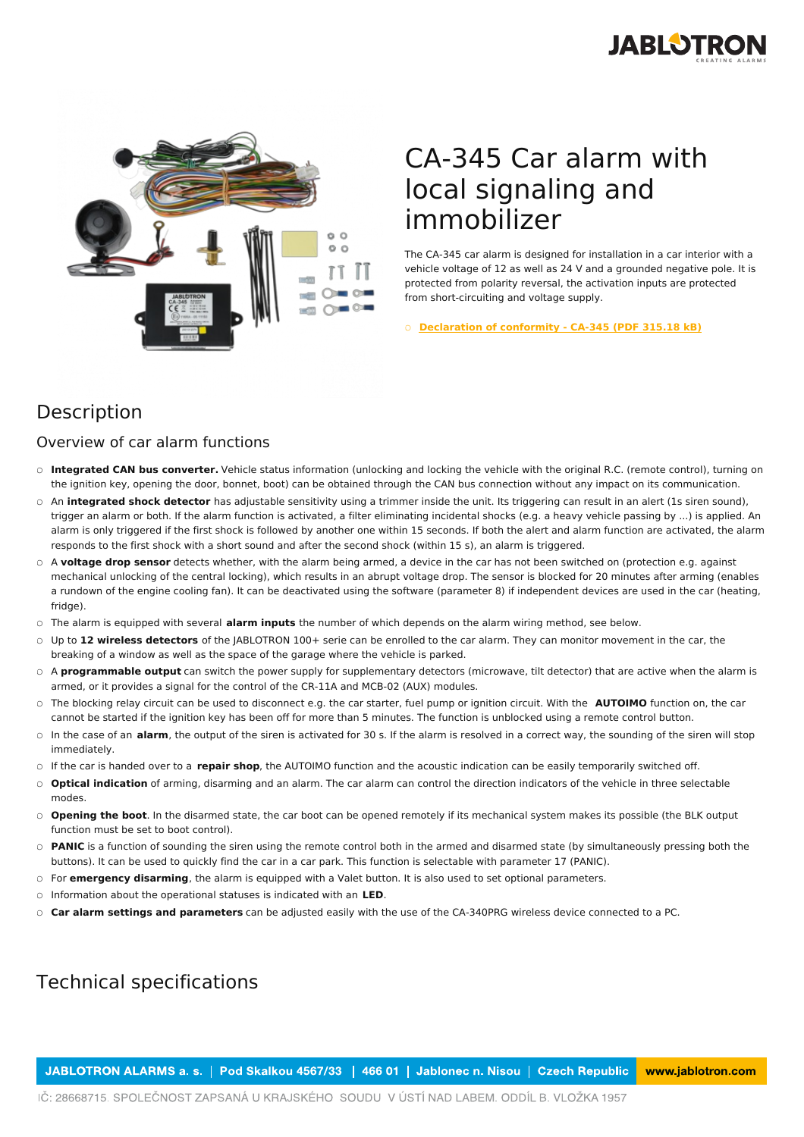



## CA-345 Car alarm with local signaling and immobilizer

The CA-345 car alarm is designed for installation in a car interior with a vehicle voltage of 12 as well as 24 V and a grounded negative pole. It is protected from polarity reversal, the activation inputs are protected from short-circuiting and voltage supply.

○ **[Declaration](https://www.jablotron.com/en/template/product/1653/?file=0&jt_id=25631&hash=e5KerE&do=downloadCertificate) of conformity - CA-345 (PDF 315.18 kB)**

## Description

## Overview of car alarm functions

- Integrated CAN bus converter. Vehicle status information (unlocking and locking the vehicle with the original R.C. (remote control), turning on the ignition key, opening the door, bonnet, boot) can be obtained through the CAN bus connection without any impact on its communication.
- An **integrated shock detector** has adjustable sensitivity using a trimmer inside the unit. Its triggering can result in an alert (1s siren sound), trigger an alarm or both. If the alarm function is activated, a filter eliminating incidental shocks (e.g. a heavy vehicle passing by ...) is applied. An alarm is only triggered if the first shock is followed by another one within 15 seconds. If both the alert and alarm function are activated, the alarm responds to the first shock with a short sound and after the second shock (within 15 s), an alarm is triggered.
- A voltage drop sensor detects whether, with the alarm being armed, a device in the car has not been switched on (protection e.g. against mechanical unlocking of the central locking), which results in an abrupt voltage drop. The sensor is blocked for 20 minutes after arming (enables a rundown of the engine cooling fan). It can be deactivated using the software (parameter 8) if independent devices are used in the car (heating, fridge).
- The alarm is equipped with several **alarm inputs** the number of which depends on the alarm wiring method, see below.
- Up to 12 wireless detectors of the JABLOTRON 100+ serie can be enrolled to the car alarm. They can monitor movement in the car, the breaking of a window as well as the space of the garage where the vehicle is parked.
- A **programmable output** can switch the power supply for supplementary detectors (microwave, tilt detector) that are active when the alarm is armed, or it provides a signal for the control of the CR-11A and MCB-02 (AUX) modules.
- The blocking relay circuit can be used to disconnect e.g. the car starter, fuel pump or ignition circuit. With the **AUTOIMO** function on, the car cannot be started if the ignition key has been off for more than 5 minutes. The function is unblocked using a remote control button.
- In the case of an **alarm**, the output of the siren is activated for 30 s. If the alarm is resolved in a correct way, the sounding of the siren will stop immediately. ○
- If the car is handed over to a **repair shop**, the AUTOIMO function and the acoustic indication can be easily temporarily switched off.
- **Optical indication** of arming, disarming and an alarm. The car alarm can control the direction indicators of the vehicle in three selectable modes.
- **Opening the boot**. In the disarmed state, the car boot can be opened remotely if its mechanical system makes its possible (the BLK output function must be set to boot control).
- PANIC is a function of sounding the siren using the remote control both in the armed and disarmed state (by simultaneously pressing both the buttons). It can be used to quickly find the car in a car park. This function is selectable with parameter 17 (PANIC).
- For **emergency disarming**, the alarm is equipped with a Valet button. It is also used to set optional parameters.
- Information about the operational statuses is indicated with an **LED**.
- **Car alarm settings and parameters** can be adjusted easily with the use of the CA-340PRG wireless device connected to a PC.

## Technical specifications

JABLOTRON ALARMS a. s. | Pod Skalkou 4567/33 | 466 01 | Jablonec n. Nisou | Czech Republic www.jablotron.com